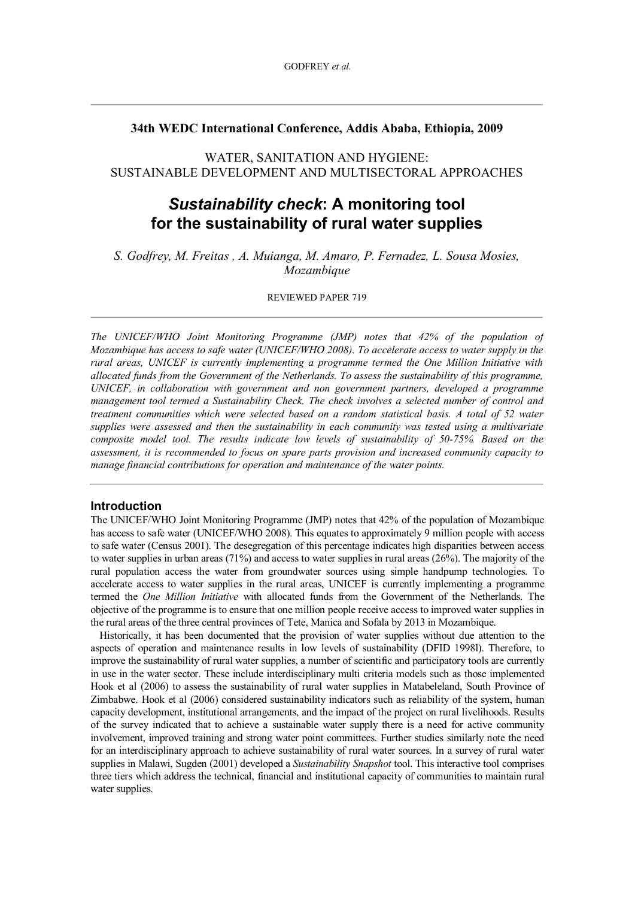## **34th WEDC International Conference, Addis Ababa, Ethiopia, 2009**

WATER, SANITATION AND HYGIENE: SUSTAINABLE DEVELOPMENT AND MULTISECTORAL APPROACHES

# *Sustainability check***: A monitoring tool for the sustainability of rural water supplies**

*S. Godfrey, M. Freitas , A. Muianga, M. Amaro, P. Fernadez, L. Sousa Mosies, Mozambique*

## REVIEWED PAPER 719

*The UNICEF/WHO Joint Monitoring Programme (JMP) notes that 42% of the population of Mozambique has access to safe water (UNICEF/WHO 2008). To accelerate access to water supply in the rural areas, UNICEF is currently implementing a programme termed the One Million Initiative with allocated funds from the Government of the Netherlands. To assess the sustainability of this programme, UNICEF, in collaboration with government and non government partners, developed a programme management tool termed a Sustainability Check. The check involves a selected number of control and treatment communities which were selected based on a random statistical basis. A total of 52 water supplies were assessed and then the sustainability in each community was tested using a multivariate composite model tool. The results indicate low levels of sustainability of 5075%. Based on the assessment, it is recommended to focus on spare parts provision and increased community capacity to manage financial contributions for operation and maintenance of the water points.*

### **Introduction**

The UNICEF/WHO Joint Monitoring Programme (JMP) notes that 42% of the population of Mozambique has access to safe water (UNICEF/WHO 2008). This equates to approximately 9 million people with access to safe water (Census 2001). The desegregation of this percentage indicates high disparities between access to water supplies in urban areas  $(71\%)$  and access to water supplies in rural areas  $(26\%)$ . The majority of the rural population access the water from groundwater sources using simple handpump technologies. To accelerate access to water supplies in the rural areas, UNICEF is currently implementing a programme termed the *One Million Initiative* with allocated funds from the Government of the Netherlands. The objective of the programme is to ensure that one million people receive access to improved water supplies in the rural areas of the three central provinces of Tete, Manica and Sofala by 2013 in Mozambique.

Historically, it has been documented that the provision of water supplies without due attention to the aspects of operation and maintenance results in low levels of sustainability (DFID 1998l). Therefore, to improve the sustainability of rural water supplies, a number of scientific and participatory tools are currently in use in the water sector. These include interdisciplinary multi criteria models such as those implemented Hook et al (2006) to assess the sustainability of rural water supplies in Matabeleland, South Province of Zimbabwe. Hook et al (2006) considered sustainability indicators such as reliability of the system, human capacity development, institutional arrangements, and the impact of the project on rural livelihoods. Results of the survey indicated that to achieve a sustainable water supply there is a need for active community involvement, improved training and strong water point committees. Further studies similarly note the need for an interdisciplinary approach to achieve sustainability of rural water sources. In a survey of rural water supplies in Malawi, Sugden (2001) developed a *Sustainability Snapshot* tool. This interactive tool comprises three tiers which address the technical, financial and institutional capacity of communities to maintain rural water supplies.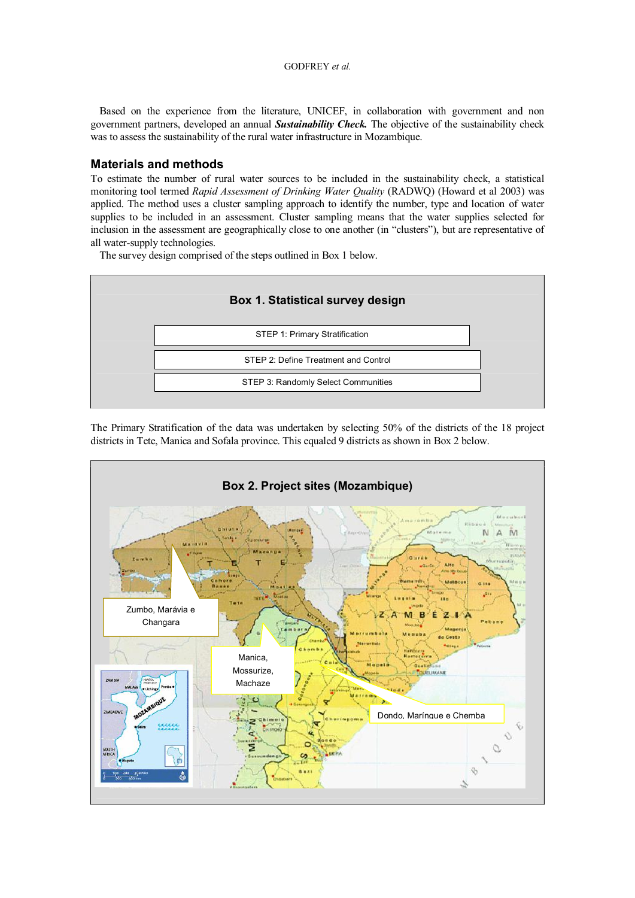#### GODFREY *et al.*

Based on the experience from the literature, UNICEF, in collaboration with government and non government partners, developed an annual *Sustainability Check.* The objective of the sustainability check was to assess the sustainability of the rural water infrastructure in Mozambique.

## **Materials and methods**

To estimate the number of rural water sources to be included in the sustainability check, a statistical monitoring tool termed *Rapid Assessment of Drinking Water Quality* (RADWQ) (Howard et al 2003) was applied. The method uses a cluster sampling approach to identify the number, type and location of water supplies to be included in an assessment. Cluster sampling means that the water supplies selected for inclusion in the assessment are geographically close to one another (in "clusters"), but are representative of all water-supply technologies.

The survey design comprised of the steps outlined in Box 1 below.



The Primary Stratification of the data was undertaken by selecting 50% of the districts of the 18 project districts in Tete, Manica and Sofala province. This equaled 9 districts as shown in Box 2 below.

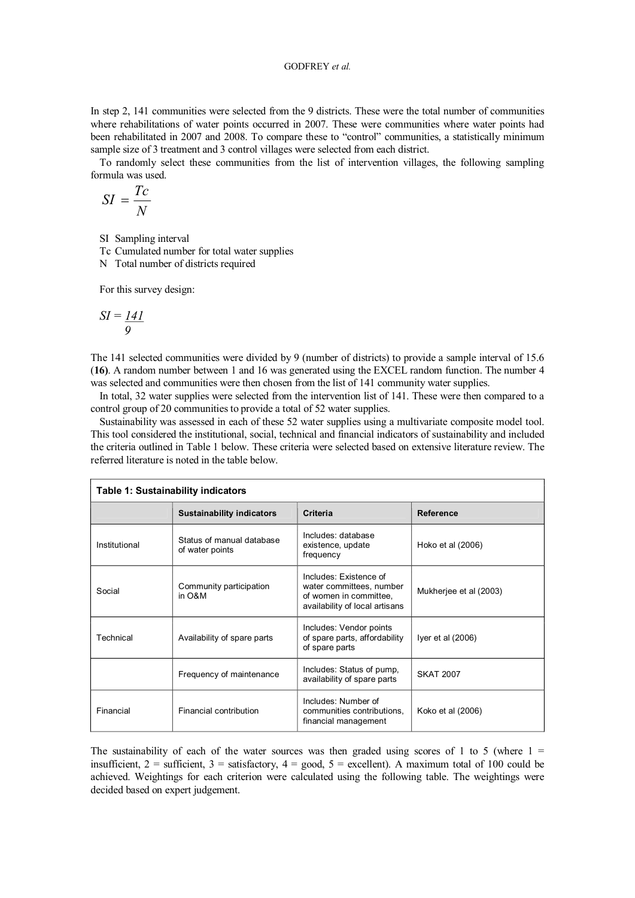### GODFREY *et al.*

In step 2, 141 communities were selected from the 9 districts. These were the total number of communities where rehabilitations of water points occurred in 2007. These were communities where water points had been rehabilitated in 2007 and 2008. To compare these to "control" communities, a statistically minimum sample size of 3 treatment and 3 control villages were selected from each district.

To randomly select these communities from the list of intervention villages, the following sampling formula was used.

$$
SI = \frac{Tc}{N}
$$

SI Sampling interval

Tc Cumulated number for total water supplies

N Total number of districts required

For this survey design:

$$
SI = \frac{141}{9}
$$

The 141 selected communities were divided by 9 (number of districts) to provide a sample interval of 15.6 (**16)**. A random number between 1 and 16 was generated using the EXCEL random function. The number 4 was selected and communities were then chosen from the list of 141 community water supplies.

In total, 32 water supplies were selected from the intervention list of 141. These were then compared to a control group of 20 communities to provide a total of 52 water supplies.

Sustainability was assessed in each of these 52 water supplies using a multivariate composite model tool. This tool considered the institutional, social, technical and financial indicators of sustainability and included the criteria outlined in Table 1 below. These criteria were selected based on extensive literature review. The referred literature is noted in the table below.

| Table 1: Sustainability indicators |                                              |                                                                                                                |                        |  |
|------------------------------------|----------------------------------------------|----------------------------------------------------------------------------------------------------------------|------------------------|--|
|                                    | <b>Sustainability indicators</b>             | Criteria                                                                                                       | <b>Reference</b>       |  |
| Institutional                      | Status of manual database<br>of water points | Includes: database<br>existence, update<br>frequency                                                           | Hoko et al (2006)      |  |
| Social                             | Community participation<br>in O&M            | Includes: Existence of<br>water committees, number<br>of women in committee.<br>availability of local artisans | Mukherjee et al (2003) |  |
| Technical                          | Availability of spare parts                  | Includes: Vendor points<br>of spare parts, affordability<br>of spare parts                                     | Iyer et al $(2006)$    |  |
|                                    | Frequency of maintenance                     | Includes: Status of pump,<br>availability of spare parts                                                       | <b>SKAT 2007</b>       |  |
| Financial                          | <b>Financial contribution</b>                | Includes: Number of<br>communities contributions.<br>financial management                                      | Koko et al (2006)      |  |

The sustainability of each of the water sources was then graded using scores of 1 to 5 (where  $1 =$ insufficient,  $2 =$  sufficient,  $3 =$  satisfactory,  $4 =$  good,  $5 =$  excellent). A maximum total of 100 could be achieved. Weightings for each criterion were calculated using the following table. The weightings were decided based on expert judgement.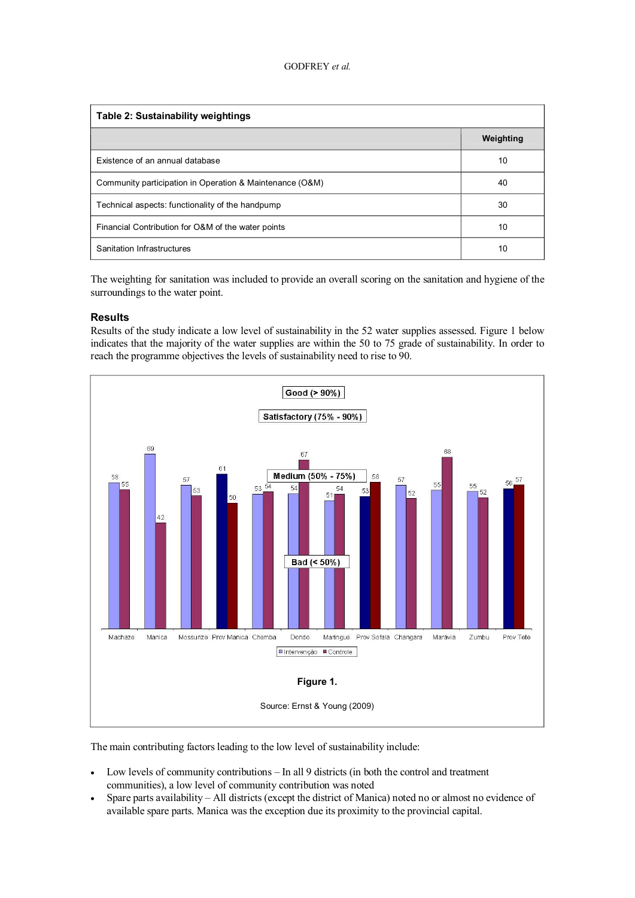| Table 2: Sustainability weightings                       |           |  |  |  |
|----------------------------------------------------------|-----------|--|--|--|
|                                                          | Weighting |  |  |  |
| Existence of an annual database                          | 10        |  |  |  |
| Community participation in Operation & Maintenance (O&M) | 40        |  |  |  |
| Technical aspects: functionality of the handpump         | 30        |  |  |  |
| Financial Contribution for O&M of the water points       | 10        |  |  |  |
| Sanitation Infrastructures                               | 10        |  |  |  |

The weighting for sanitation was included to provide an overall scoring on the sanitation and hygiene of the surroundings to the water point.

#### **Results**

Results of the study indicate a low level of sustainability in the 52 water supplies assessed. Figure 1 below indicates that the majority of the water supplies are within the 50 to 75 grade of sustainability. In order to reach the programme objectives the levels of sustainability need to rise to 90.



The main contributing factors leading to the low level of sustainability include:

- · Low levels of community contributions In all 9 districts (in both the control and treatment communities), a low level of community contribution was noted
- · Spare parts availability All districts (except the district of Manica) noted no or almost no evidence of available spare parts. Manica was the exception due its proximity to the provincial capital.